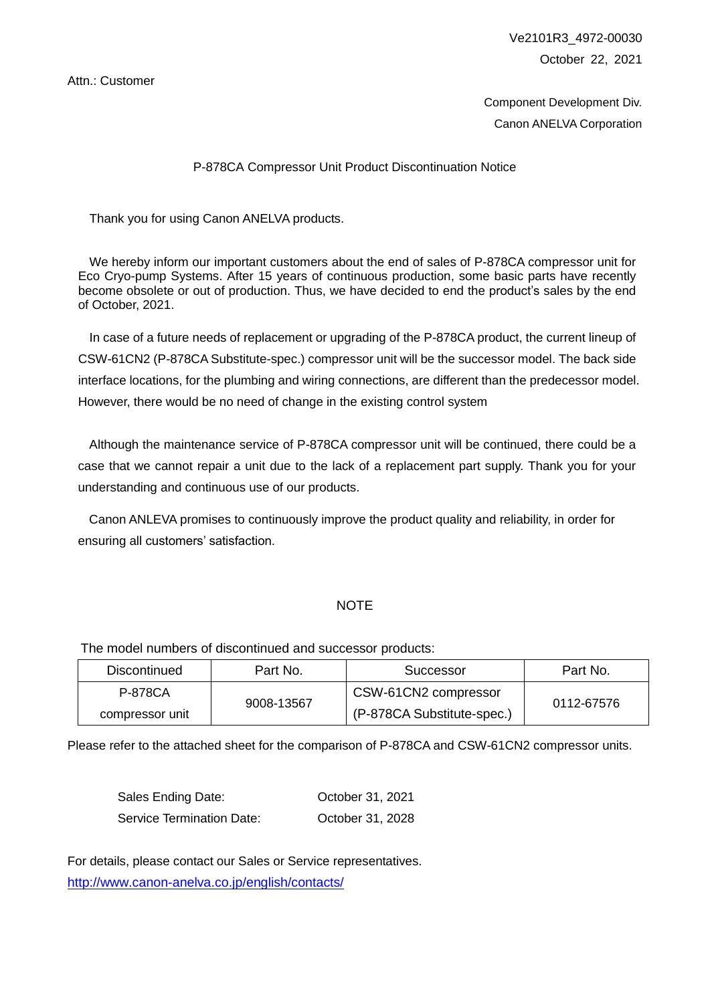Attn.: Customer

Ve2101R3\_4972-00030 October 22, 2021

Component Development Div. Canon ANELVA Corporation

### P-878CA Compressor Unit Product Discontinuation Notice

Thank you for using Canon ANELVA products.

We hereby inform our important customers about the end of sales of P-878CA compressor unit for Eco Cryo-pump Systems. After 15 years of continuous production, some basic parts have recently become obsolete or out of production. Thus, we have decided to end the product's sales by the end of October, 2021.

In case of a future needs of replacement or upgrading of the P-878CA product, the current lineup of CSW-61CN2 (P-878CA Substitute-spec.) compressor unit will be the successor model. The back side interface locations, for the plumbing and wiring connections, are different than the predecessor model. However, there would be no need of change in the existing control system

Although the maintenance service of P-878CA compressor unit will be continued, there could be a case that we cannot repair a unit due to the lack of a replacement part supply. Thank you for your understanding and continuous use of our products.

Canon ANLEVA promises to continuously improve the product quality and reliability, in order for ensuring all customers' satisfaction.

#### **NOTE**

The model numbers of discontinued and successor products:

| Discontinued    | Part No.   | Successor                  | Part No.   |  |
|-----------------|------------|----------------------------|------------|--|
| P-878CA         | 9008-13567 | CSW-61CN2 compressor       | 0112-67576 |  |
| compressor unit |            | (P-878CA Substitute-spec.) |            |  |

Please refer to the attached sheet for the comparison of P-878CA and CSW-61CN2 compressor units.

| Sales Ending Date:               | October 31, 2021 |
|----------------------------------|------------------|
| <b>Service Termination Date:</b> | October 31, 2028 |

For details, please contact our Sales or Service representatives. <http://www.canon-anelva.co.jp/english/contacts/>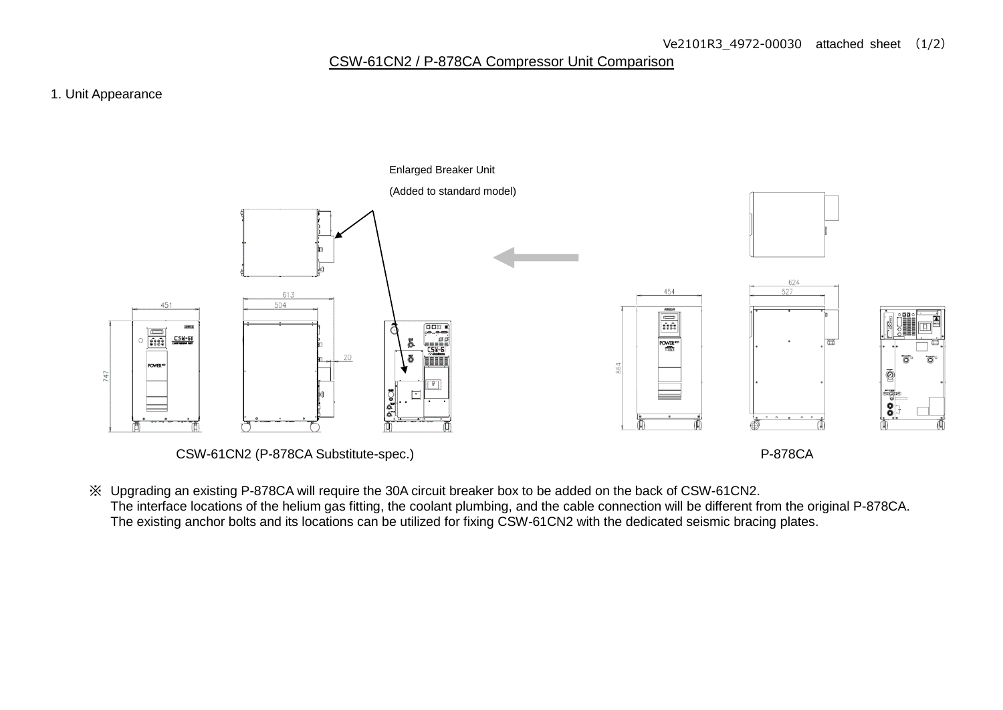# CSW-61CN2 / P-878CA Compressor Unit Comparison

### 1. Unit Appearance



CSW-61CN2 (P-878CA Substitute-spec.) P-878CA

※ Upgrading an existing P-878CA will require the 30A circuit breaker box to be added on the back of CSW-61CN2. The interface locations of the helium gas fitting, the coolant plumbing, and the cable connection will be different from the original P-878CA. The existing anchor bolts and its locations can be utilized for fixing CSW-61CN2 with the dedicated seismic bracing plates.